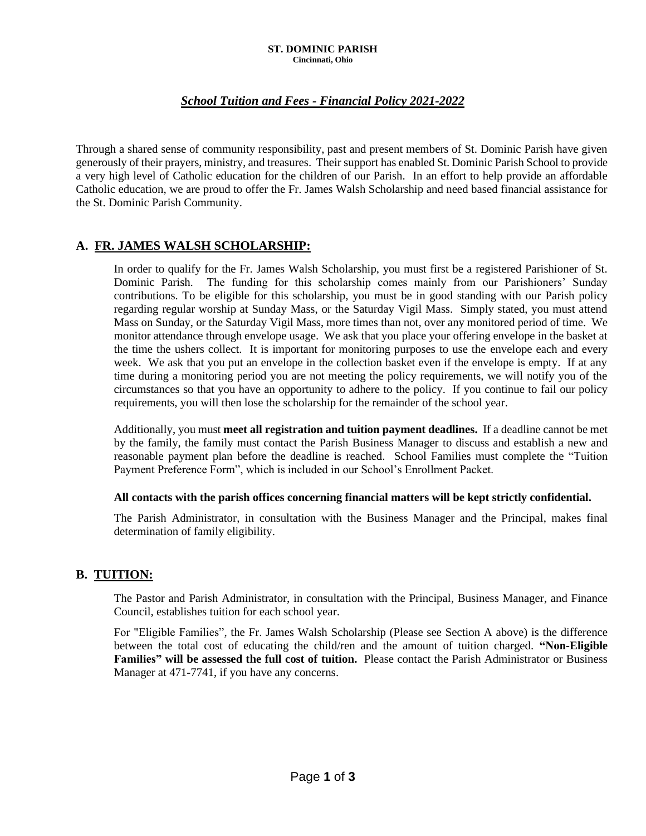#### **ST. DOMINIC PARISH Cincinnati, Ohio**

# *School Tuition and Fees - Financial Policy 2021-2022*

Through a shared sense of community responsibility, past and present members of St. Dominic Parish have given generously of their prayers, ministry, and treasures. Their support has enabled St. Dominic Parish School to provide a very high level of Catholic education for the children of our Parish. In an effort to help provide an affordable Catholic education, we are proud to offer the Fr. James Walsh Scholarship and need based financial assistance for the St. Dominic Parish Community.

### **A. FR. JAMES WALSH SCHOLARSHIP:**

In order to qualify for the Fr. James Walsh Scholarship, you must first be a registered Parishioner of St. Dominic Parish. The funding for this scholarship comes mainly from our Parishioners' Sunday contributions. To be eligible for this scholarship, you must be in good standing with our Parish policy regarding regular worship at Sunday Mass, or the Saturday Vigil Mass. Simply stated, you must attend Mass on Sunday, or the Saturday Vigil Mass, more times than not, over any monitored period of time. We monitor attendance through envelope usage. We ask that you place your offering envelope in the basket at the time the ushers collect. It is important for monitoring purposes to use the envelope each and every week. We ask that you put an envelope in the collection basket even if the envelope is empty. If at any time during a monitoring period you are not meeting the policy requirements, we will notify you of the circumstances so that you have an opportunity to adhere to the policy. If you continue to fail our policy requirements, you will then lose the scholarship for the remainder of the school year.

Additionally, you must **meet all registration and tuition payment deadlines.** If a deadline cannot be met by the family, the family must contact the Parish Business Manager to discuss and establish a new and reasonable payment plan before the deadline is reached. School Families must complete the "Tuition Payment Preference Form", which is included in our School's Enrollment Packet.

#### **All contacts with the parish offices concerning financial matters will be kept strictly confidential.**

The Parish Administrator, in consultation with the Business Manager and the Principal, makes final determination of family eligibility.

### **B. TUITION:**

The Pastor and Parish Administrator, in consultation with the Principal, Business Manager, and Finance Council, establishes tuition for each school year.

For "Eligible Families", the Fr. James Walsh Scholarship (Please see Section A above) is the difference between the total cost of educating the child/ren and the amount of tuition charged. **"Non-Eligible Families" will be assessed the full cost of tuition.** Please contact the Parish Administrator or Business Manager at 471-7741, if you have any concerns.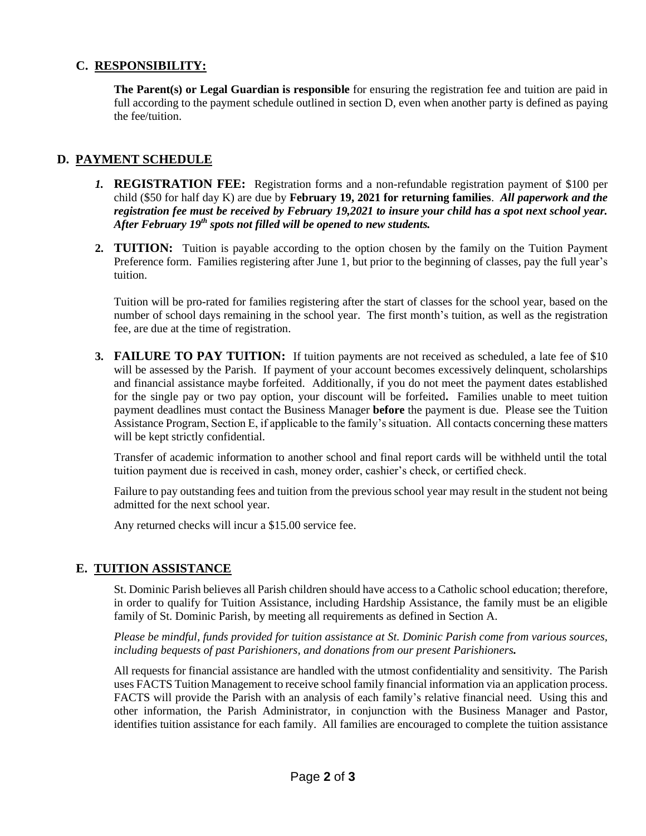### **C. RESPONSIBILITY:**

**The Parent(s) or Legal Guardian is responsible** for ensuring the registration fee and tuition are paid in full according to the payment schedule outlined in section D, even when another party is defined as paying the fee/tuition.

# **D. PAYMENT SCHEDULE**

- *1.* **REGISTRATION FEE:** Registration forms and a non-refundable registration payment of \$100 per child (\$50 for half day K) are due by **February 19, 2021 for returning families**. *All paperwork and the registration fee must be received by February 19,2021 to insure your child has a spot next school year. After February 19th spots not filled will be opened to new students.*
- **2. TUITION:** Tuition is payable according to the option chosen by the family on the Tuition Payment Preference form. Families registering after June 1, but prior to the beginning of classes, pay the full year's tuition.

Tuition will be pro-rated for families registering after the start of classes for the school year, based on the number of school days remaining in the school year. The first month's tuition, as well as the registration fee, are due at the time of registration.

**3. FAILURE TO PAY TUITION:** If tuition payments are not received as scheduled, a late fee of \$10 will be assessed by the Parish. If payment of your account becomes excessively delinquent, scholarships and financial assistance maybe forfeited. Additionally, if you do not meet the payment dates established for the single pay or two pay option, your discount will be forfeited**.** Families unable to meet tuition payment deadlines must contact the Business Manager **before** the payment is due. Please see the Tuition Assistance Program, Section E, if applicable to the family's situation. All contacts concerning these matters will be kept strictly confidential.

Transfer of academic information to another school and final report cards will be withheld until the total tuition payment due is received in cash, money order, cashier's check, or certified check.

Failure to pay outstanding fees and tuition from the previous school year may result in the student not being admitted for the next school year.

Any returned checks will incur a \$15.00 service fee.

## **E. TUITION ASSISTANCE**

St. Dominic Parish believes all Parish children should have access to a Catholic school education; therefore, in order to qualify for Tuition Assistance, including Hardship Assistance, the family must be an eligible family of St. Dominic Parish, by meeting all requirements as defined in Section A.

*Please be mindful, funds provided for tuition assistance at St. Dominic Parish come from various sources, including bequests of past Parishioners, and donations from our present Parishioners.*

All requests for financial assistance are handled with the utmost confidentiality and sensitivity. The Parish uses FACTS Tuition Management to receive school family financial information via an application process. FACTS will provide the Parish with an analysis of each family's relative financial need. Using this and other information, the Parish Administrator, in conjunction with the Business Manager and Pastor, identifies tuition assistance for each family. All families are encouraged to complete the tuition assistance